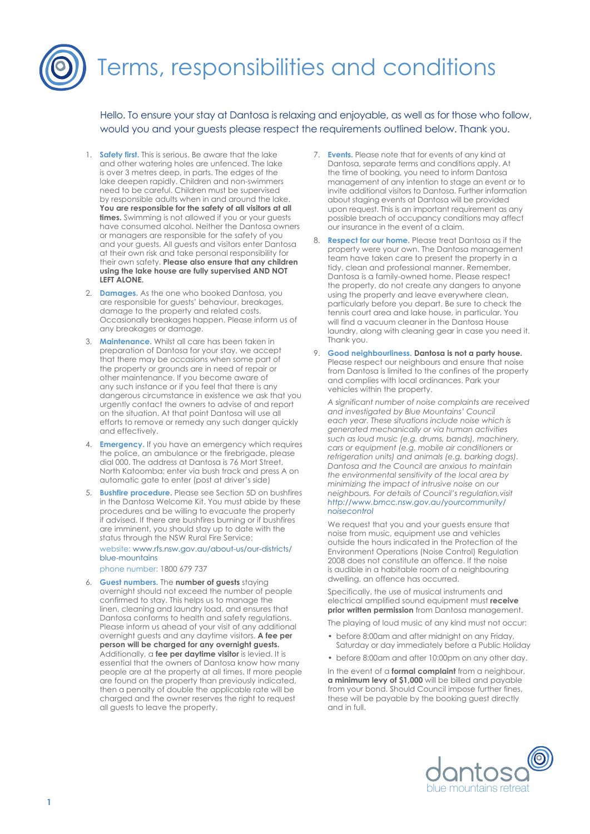## Terms, responsibilities and conditions

Hello. To ensure your stay at Dantosa is relaxing and enjoyable, as well as for those who follow, would you and your guests please respect the requirements outlined below. Thank you.

- 1. **Safety first.** This is serious. Be aware that the lake and other watering holes are unfenced. The lake is over 3 metres deep, in parts. The edges of the lake deepen rapidly. Children and non-swimmers need to be careful. Children must be supervised by responsible adults when in and around the lake. **You are responsible for the safety of all visitors at all times.** Swimming is not allowed if you or your guests have consumed alcohol. Neither the Dantosa owners or managers are responsible for the safety of you and your guests. All guests and visitors enter Dantosa at their own risk and take personal responsibility for their own safety. **Please also ensure that any children using the lake house are fully supervised AND NOT LEFT ALONE.**
- 2. **Damages.** As the one who booked Dantosa, you are responsible for guests' behaviour, breakages, damage to the property and related costs. Occasionally breakages happen. Please inform us of any breakages or damage.
- 3. **Maintenance.** Whilst all care has been taken in preparation of Dantosa for your stay, we accept that there may be occasions when some part of the property or grounds are in need of repair or other maintenance. If you become aware of any such instance or if you feel that there is any dangerous circumstance in existence we ask that you urgently contact the owners to advise of and report on the situation. At that point Dantosa will use all efforts to remove or remedy any such danger quickly and effectively.
- 4. **Emergency.** If you have an emergency which requires the police, an ambulance or the firebrigade, please dial 000. The address at Dantosa is 76 Mort Street, North Katoomba; enter via bush track and press A on automatic gate to enter (post at driver's side)
- 5. **Bushfire procedure.** Please see Section 5D on bushfires in the Dantosa Welcome Kit. You must abide by these procedures and be willing to evacuate the property if advised. If there are bushfires burning or if bushfires are imminent, you should stay up to date with the status through the NSW Rural Fire Service:

[website: www.rfs.nsw.gov.au/about-us/our-districts/](http://www.rfs.nsw.gov.au/about-us/our-districts/blue-mountains) [blue-mountains](http://www.rfs.nsw.gov.au/about-us/our-districts/blue-mountains) 

phone number: 1800 679 737

6. **Guest numbers.** The **number of guests** staying overnight should not exceed the number of people confirmed to stay. This helps us to manage the linen, cleaning and laundry load, and ensures that Dantosa conforms to health and safety regulations. Please inform us ahead of your visit of any additional overnight guests and any daytime visitors. **A fee per person will be charged for any overnight guests.**  Additionally, a **fee per daytime visitor** is levied. It is essential that the owners of Dantosa know how many people are at the property at all times. If more people are found on the property than previously indicated, then a penalty of double the applicable rate will be charged and the owner reserves the right to request all guests to leave the property.

- 7. **Events.** Please note that for events of any kind at Dantosa, separate terms and conditions apply. At the time of booking, you need to inform Dantosa management of any intention to stage an event or to invite additional visitors to Dantosa. Further information about staging events at Dantosa will be provided upon request. This is an important requirement as any possible breach of occupancy conditions may affect our insurance in the event of a claim.
- 8. **Respect for our home.** Please treat Dantosa as if the property were your own. The Dantosa management team have taken care to present the property in a tidy, clean and professional manner. Remember, Dantosa is a family-owned home. Please respect the property, do not create any dangers to anyone using the property and leave everywhere clean, particularly before you depart. Be sure to check the tennis court area and lake house, in particular. You will find a vacuum cleaner in the Dantosa House laundry, along with cleaning gear in case you need it. Thank you.
- 9. **Good neighbourliness. Dantosa is not a party house.**  Please respect our neighbours and ensure that noise from Dantosa is limited to the confines of the property and complies with local ordinances. Park your vehicles within the property.

*A significant number of noise complaints are received and investigated by Blue Mountains' Council each year. These situations include noise which is generated mechanically or via human activities such as loud music (e.g. drums, bands), machinery, cars or equipment (e.g. mobile air conditioners or refrigeration units) and animals (e.g. barking dogs). Dantosa and the Council are anxious to maintain the environmental sensitivity of the local area by minimizing the impact of intrusive noise on our neighbours. For details of Council's regulation,visit [http://www.bmcc.nsw.gov.au/yourcommunity/](http://www.bmcc.nsw.gov.au/yourcommunity/noisecontrol) [noisecontrol](http://www.bmcc.nsw.gov.au/yourcommunity/noisecontrol)*

We request that you and your guests ensure that noise from music, equipment use and vehicles outside the hours indicated in the Protection of the Environment Operations (Noise Control) Regulation 2008 does not constitute an offence. If the noise is audible in a habitable room of a neighbouring dwelling, an offence has occurred.

Specifically, the use of musical instruments and electrical amplified sound equipment must **receive prior written permission** from Dantosa management.

The playing of loud music of any kind must not occur:

- before 8:00am and after midnight on any Friday, Saturday or day immediately before a Public Holiday
- before 8:00am and after 10:00pm on any other day.

In the event of a **formal complaint** from a neighbour, **a minimum levy of \$1,000** will be billed and payable from your bond. Should Council impose further fines, these will be payable by the booking guest directly and in full.